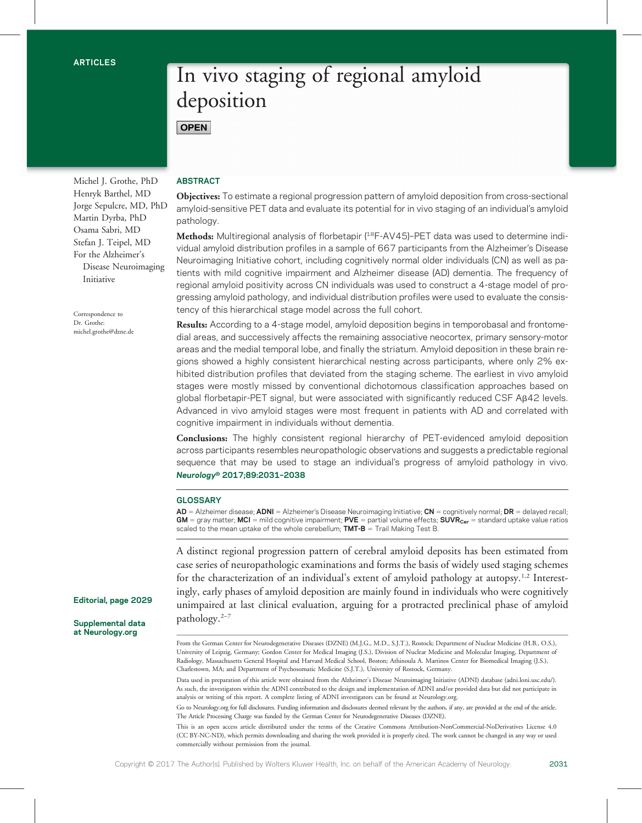ARTICLES

# In vivo staging of regional amyloid deposition

**OPEN** 

# Michel J. Grothe, PhD Henryk Barthel, MD Jorge Sepulcre, MD, PhD Martin Dyrba, PhD Osama Sabri, MD Stefan J. Teipel, MD For the Alzheimer's Disease Neuroimaging Initiative

Correspondence to Dr. Grothe: [michel.grothe@dzne.de](mailto:michel.grothe@dzne.de)

Editorial, page 2029

Supplemental data at [Neurology.org](http://neurology.org/lookup/doi/10.1212/WNL.0000000000004643)

## **ABSTRACT**

Objectives: To estimate a regional progression pattern of amyloid deposition from cross-sectional amyloid-sensitive PET data and evaluate its potential for in vivo staging of an individual's amyloid pathology.

Methods: Multiregional analysis of florbetapir (<sup>18</sup>F-AV45)-PET data was used to determine individual amyloid distribution profiles in a sample of 667 participants from the Alzheimer's Disease Neuroimaging Initiative cohort, including cognitively normal older individuals (CN) as well as patients with mild cognitive impairment and Alzheimer disease (AD) dementia. The frequency of regional amyloid positivity across CN individuals was used to construct a 4-stage model of progressing amyloid pathology, and individual distribution profiles were used to evaluate the consistency of this hierarchical stage model across the full cohort.

Results: According to a 4-stage model, amyloid deposition begins in temporobasal and frontomedial areas, and successively affects the remaining associative neocortex, primary sensory-motor areas and the medial temporal lobe, and finally the striatum. Amyloid deposition in these brain regions showed a highly consistent hierarchical nesting across participants, where only 2% exhibited distribution profiles that deviated from the staging scheme. The earliest in vivo amyloid stages were mostly missed by conventional dichotomous classification approaches based on global florbetapir-PET signal, but were associated with significantly reduced CSF AB42 levels. Advanced in vivo amyloid stages were most frequent in patients with AD and correlated with cognitive impairment in individuals without dementia.

Conclusions: The highly consistent regional hierarchy of PET-evidenced amyloid deposition across participants resembles neuropathologic observations and suggests a predictable regional sequence that may be used to stage an individual's progress of amyloid pathology in vivo. Neurology® 2017;89:2031–<sup>2038</sup>

#### **GLOSSARY**

AD = Alzheimer disease; ADNI = Alzheimer's Disease Neuroimaging Initiative; CN = cognitively normal; DR = delayed recall; GM = gray matter; MCI = mild cognitive impairment; PVE = partial volume effects; SUVR<sub>Cer</sub> = standard uptake value ratios scaled to the mean uptake of the whole cerebellum;  $TMT-B = T_{real}$  Making Test B.

A distinct regional progression pattern of cerebral amyloid deposits has been estimated from case series of neuropathologic examinations and forms the basis of widely used staging schemes for the characterization of an individual's extent of amyloid pathology at autopsy.<sup>1,2</sup> Interestingly, early phases of amyloid deposition are mainly found in individuals who were cognitively unimpaired at last clinical evaluation, arguing for a protracted preclinical phase of amyloid pathology.2–<sup>7</sup>

From the German Center for Neurodegenerative Diseases (DZNE) (M.J.G., M.D., S.J.T.), Rostock; Department of Nuclear Medicine (H.B., O.S.), University of Leipzig, Germany; Gordon Center for Medical Imaging (J.S.), Division of Nuclear Medicine and Molecular Imaging, Department of Radiology, Massachusetts General Hospital and Harvard Medical School, Boston; Athinoula A. Martinos Center for Biomedical Imaging (J.S.), Charlestown, MA; and Department of Psychosomatic Medicine (S.J.T.), University of Rostock, Germany.

Data used in preparation of this article were obtained from the Alzheimer's Disease Neuroimaging Initiative (ADNI) database ([adni.loni.usc.edu/\)](http://adni.loni.usc.edu/). As such, the investigators within the ADNI contributed to the design and implementation of ADNI and/or provided data but did not participate in analysis or writing of this report. A complete listing of ADNI investigators can be found at [Neurology.org.](http://neurology.org/lookup/doi/10.1212/WNL.0000000000004643)

Go to [Neurology.org](http://neurology.org/lookup/doi/10.1212/WNL.0000000000004643) for full disclosures. Funding information and disclosures deemed relevant by the authors, if any, are provided at the end of the article. The Article Processing Charge was funded by the German Center for Neurodegenerative Diseases (DZNE).

This is an open access article distributed under the terms of the [Creative Commons Attribution-NonCommercial-NoDerivatives License 4.0](http://creativecommons.org/licenses/by-nc-nd/4.0/) [\(CC BY-NC-ND\),](http://creativecommons.org/licenses/by-nc-nd/4.0/) which permits downloading and sharing the work provided it is properly cited. The work cannot be changed in any way or used commercially without permission from the journal.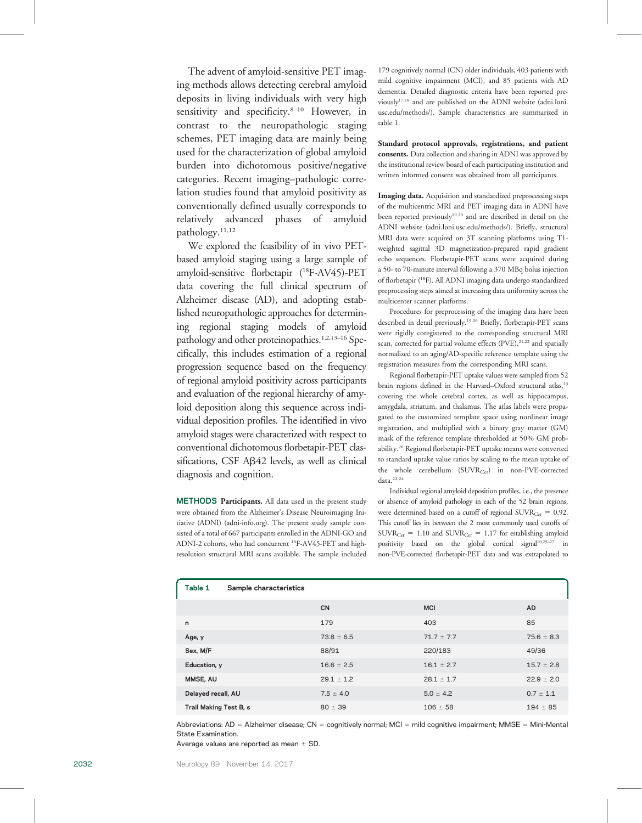The advent of amyloid-sensitive PET imaging methods allows detecting cerebral amyloid deposits in living individuals with very high sensitivity and specificity.<sup>8-10</sup> However, in contrast to the neuropathologic staging schemes, PET imaging data are mainly being used for the characterization of global amyloid burden into dichotomous positive/negative categories. Recent imaging–pathologic correlation studies found that amyloid positivity as conventionally defined usually corresponds to relatively advanced phases of amyloid pathology.<sup>11,12</sup>

We explored the feasibility of in vivo PETbased amyloid staging using a large sample of amyloid-sensitive florbetapir (18F-AV45)-PET data covering the full clinical spectrum of Alzheimer disease (AD), and adopting established neuropathologic approaches for determining regional staging models of amyloid pathology and other proteinopathies.<sup>1,2,13-16</sup> Specifically, this includes estimation of a regional progression sequence based on the frequency of regional amyloid positivity across participants and evaluation of the regional hierarchy of amyloid deposition along this sequence across individual deposition profiles. The identified in vivo amyloid stages were characterized with respect to conventional dichotomous florbetapir-PET classifications, CSF  $\text{AB42}$  levels, as well as clinical diagnosis and cognition.

METHODS Participants. All data used in the present study were obtained from the Alzheimer's Disease Neuroimaging Initiative (ADNI) [\(adni-info.org\)](http://www.adni-info.org/). The present study sample consisted of a total of 667 participants enrolled in the ADNI-GO and ADNI-2 cohorts, who had concurrent 18F-AV45-PET and highresolution structural MRI scans available. The sample included

179 cognitively normal (CN) older individuals, 403 patients with mild cognitive impairment (MCI), and 85 patients with AD dementia. Detailed diagnostic criteria have been reported previously17,18 and are published on the ADNI website ([adni.loni.](http://adni.loni.usc.edu/methods/) [usc.edu/methods/\)](http://adni.loni.usc.edu/methods/). Sample characteristics are summarized in table 1.

Standard protocol approvals, registrations, and patient consents. Data collection and sharing in ADNI was approved by the institutional review board of each participating institution and written informed consent was obtained from all participants.

Imaging data. Acquisition and standardized preprocessing steps of the multicentric MRI and PET imaging data in ADNI have been reported previously<sup>19,20</sup> and are described in detail on the ADNI website [\(adni.loni.usc.edu/methods/](http://adni.loni.usc.edu/methods/)). Briefly, structural MRI data were acquired on 3T scanning platforms using T1 weighted sagittal 3D magnetization-prepared rapid gradient echo sequences. Florbetapir-PET scans were acquired during a 50- to 70-minute interval following a 370 MBq bolus injection of florbetapir (18F). All ADNI imaging data undergo standardized preprocessing steps aimed at increasing data uniformity across the multicenter scanner platforms.

Procedures for preprocessing of the imaging data have been described in detail previously.19,20 Briefly, florbetapir-PET scans were rigidly coregistered to the corresponding structural MRI scan, corrected for partial volume effects (PVE),<sup>21,22</sup> and spatially normalized to an aging/AD-specific reference template using the registration measures from the corresponding MRI scans.

Regional florbetapir-PET uptake values were sampled from 52 brain regions defined in the Harvard–Oxford structural atlas,<sup>23</sup> covering the whole cerebral cortex, as well as hippocampus, amygdala, striatum, and thalamus. The atlas labels were propagated to the customized template space using nonlinear image registration, and multiplied with a binary gray matter (GM) mask of the reference template thresholded at 50% GM probability.20 Regional florbetapir-PET uptake means were converted to standard uptake value ratios by scaling to the mean uptake of the whole cerebellum (SUVR<sub>Cer</sub>) in non-PVE-corrected data.22,24

Individual regional amyloid deposition profiles, i.e., the presence or absence of amyloid pathology in each of the 52 brain regions, were determined based on a cutoff of regional SUVR $_{\rm Cer}$  = 0.92. This cutoff lies in between the 2 most commonly used cutoffs of  $\text{SUVR}_{\text{Cer}} = 1.10$  and  $\text{SUVR}_{\text{Cer}} = 1.17$  for establishing amyloid positivity based on the global cortical signal<sup>10,25-27</sup> in non-PVE-corrected florbetapir-PET data and was extrapolated to

| Table 1                | Sample characteristics |                |                |                |
|------------------------|------------------------|----------------|----------------|----------------|
|                        |                        | <b>CN</b>      | <b>MCI</b>     | <b>AD</b>      |
| n                      |                        | 179            | 403            | 85             |
| Age, y                 |                        | $73.8 \pm 6.5$ | $71.7 \pm 7.7$ | $75.6 \pm 8.3$ |
| Sex, M/F               |                        | 88/91          | 220/183        | 49/36          |
| Education, y           |                        | $16.6 \pm 2.5$ | $16.1 \pm 2.7$ | $15.7 \pm 2.8$ |
| MMSE, AU               |                        | $29.1 \pm 1.2$ | $28.1 \pm 1.7$ | $22.9 \pm 2.0$ |
| Delayed recall, AU     |                        | $7.5 \pm 4.0$  | $5.0 \pm 4.2$  | $0.7 \pm 1.1$  |
| Trail Making Test B, s |                        | $80 \pm 39$    | $106 \pm 58$   | $194 \pm 85$   |

Abbreviations: AD = Alzheimer disease; CN = cognitively normal; MCI = mild cognitive impairment; MMSE = Mini-Mental State Examination.

Average values are reported as mean  $\pm$  SD.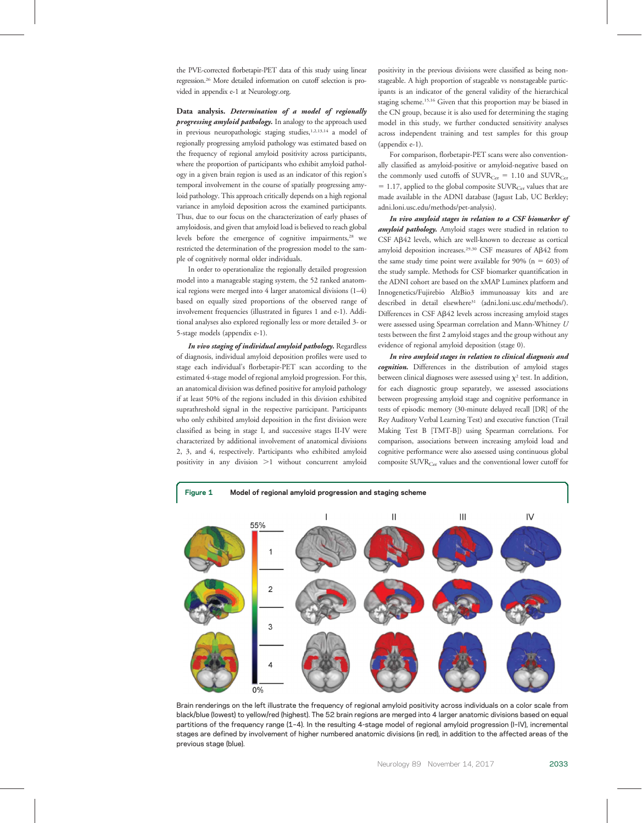the PVE-corrected florbetapir-PET data of this study using linear regression.26 More detailed information on cutoff selection is provided in appendix e-1 at [Neurology.org](http://neurology.org/lookup/doi/10.1212/WNL.0000000000004643).

Data analysis. Determination of a model of regionally progressing amyloid pathology. In analogy to the approach used in previous neuropathologic staging studies,<sup>1,2,13,14</sup> a model of regionally progressing amyloid pathology was estimated based on the frequency of regional amyloid positivity across participants, where the proportion of participants who exhibit amyloid pathology in a given brain region is used as an indicator of this region's temporal involvement in the course of spatially progressing amyloid pathology. This approach critically depends on a high regional variance in amyloid deposition across the examined participants. Thus, due to our focus on the characterization of early phases of amyloidosis, and given that amyloid load is believed to reach global levels before the emergence of cognitive impairments,<sup>28</sup> we restricted the determination of the progression model to the sample of cognitively normal older individuals.

In order to operationalize the regionally detailed progression model into a manageable staging system, the 52 ranked anatomical regions were merged into 4 larger anatomical divisions (1–4) based on equally sized proportions of the observed range of involvement frequencies (illustrated in figures 1 and e-1). Additional analyses also explored regionally less or more detailed 3- or 5-stage models (appendix e-1).

In vivo staging of individual amyloid pathology. Regardless of diagnosis, individual amyloid deposition profiles were used to stage each individual's florbetapir-PET scan according to the estimated 4-stage model of regional amyloid progression. For this, an anatomical division was defined positive for amyloid pathology if at least 50% of the regions included in this division exhibited suprathreshold signal in the respective participant. Participants who only exhibited amyloid deposition in the first division were classified as being in stage I, and successive stages II-IV were characterized by additional involvement of anatomical divisions 2, 3, and 4, respectively. Participants who exhibited amyloid positivity in any division  $>1$  without concurrent amyloid

positivity in the previous divisions were classified as being nonstageable. A high proportion of stageable vs nonstageable participants is an indicator of the general validity of the hierarchical staging scheme.15,16 Given that this proportion may be biased in the CN group, because it is also used for determining the staging model in this study, we further conducted sensitivity analyses across independent training and test samples for this group (appendix e-1).

For comparison, florbetapir-PET scans were also conventionally classified as amyloid-positive or amyloid-negative based on the commonly used cutoffs of  $\text{SUVR}_{\text{Cer}} = 1.10$  and  $\text{SUVR}_{\text{Cer}}$  $= 1.17$ , applied to the global composite SUVR<sub>Cer</sub> values that are made available in the ADNI database (Jagust Lab, UC Berkley; [adni.loni.usc.edu/methods/pet-analysis\)](http://adni.loni.usc.edu/methods/pet-analysis).

In vivo amyloid stages in relation to a CSF biomarker of amyloid pathology. Amyloid stages were studied in relation to CSF AB42 levels, which are well-known to decrease as cortical amyloid deposition increases.<sup>29,30</sup> CSF measures of AB42 from the same study time point were available for 90% ( $n = 603$ ) of the study sample. Methods for CSF biomarker quantification in the ADNI cohort are based on the xMAP Luminex platform and Innogenetics/Fujirebio AlzBio3 immunoassay kits and are described in detail elsewhere<sup>31</sup> ([adni.loni.usc.edu/methods/](http://adni.loni.usc.edu/methods/)). Differences in CSF AB42 levels across increasing amyloid stages were assessed using Spearman correlation and Mann-Whitney  ${\cal U}$ tests between the first 2 amyloid stages and the group without any evidence of regional amyloid deposition (stage 0).

In vivo amyloid stages in relation to clinical diagnosis and cognition. Differences in the distribution of amyloid stages between clinical diagnoses were assessed using  $\chi^2$  test. In addition, for each diagnostic group separately, we assessed associations between progressing amyloid stage and cognitive performance in tests of episodic memory (30-minute delayed recall [DR] of the Rey Auditory Verbal Learning Test) and executive function (Trail Making Test B [TMT-B]) using Spearman correlations. For comparison, associations between increasing amyloid load and cognitive performance were also assessed using continuous global composite  $\text{SUVR}_{\text{Cer}}$  values and the conventional lower cutoff for



Brain renderings on the left illustrate the frequency of regional amyloid positivity across individuals on a color scale from black/blue (lowest) to yellow/red (highest). The 52 brain regions are merged into 4 larger anatomic divisions based on equal partitions of the frequency range (1–4). In the resulting 4-stage model of regional amyloid progression (I–IV), incremental stages are defined by involvement of higher numbered anatomic divisions (in red), in addition to the affected areas of the previous stage (blue).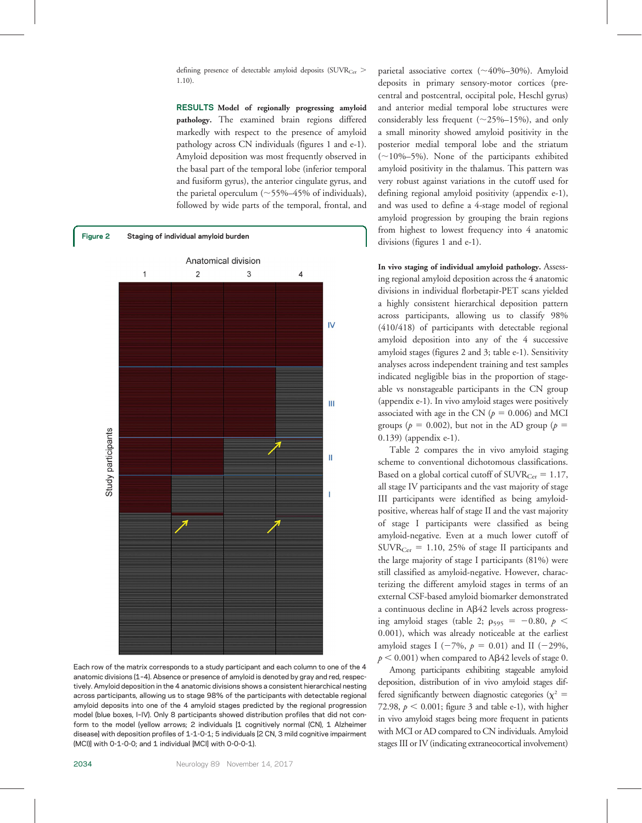defining presence of detectable amyloid deposits ( $\text{SUVR}_\text{Cer}$   $>$ 1.10).

RESULTS Model of regionally progressing amyloid pathology. The examined brain regions differed markedly with respect to the presence of amyloid pathology across CN individuals (figures 1 and e-1). Amyloid deposition was most frequently observed in the basal part of the temporal lobe (inferior temporal and fusiform gyrus), the anterior cingulate gyrus, and the parietal operculum ( $\sim$ 55%–45% of individuals), followed by wide parts of the temporal, frontal, and



Each row of the matrix corresponds to a study participant and each column to one of the 4 anatomic divisions (1–4). Absence or presence of amyloid is denoted by gray and red, respectively. Amyloid deposition in the 4 anatomic divisions shows a consistent hierarchical nesting across participants, allowing us to stage 98% of the participants with detectable regional amyloid deposits into one of the 4 amyloid stages predicted by the regional progression model (blue boxes, I–IV). Only 8 participants showed distribution profiles that did not conform to the model (yellow arrows; 2 individuals [1 cognitively normal (CN), 1 Alzheimer disease] with deposition profiles of 1-1-0-1; 5 individuals [2 CN, 3 mild cognitive impairment (MCI)] with 0-1-0-0; and 1 individual [MCI] with 0-0-0-1).

parietal associative cortex  $(\sim40\% - 30\%)$ . Amyloid deposits in primary sensory-motor cortices (precentral and postcentral, occipital pole, Heschl gyrus) and anterior medial temporal lobe structures were considerably less frequent ( $\sim$ 25%–15%), and only a small minority showed amyloid positivity in the posterior medial temporal lobe and the striatum  $(-10\% - 5\%)$ . None of the participants exhibited amyloid positivity in the thalamus. This pattern was very robust against variations in the cutoff used for defining regional amyloid positivity (appendix e-1), and was used to define a 4-stage model of regional amyloid progression by grouping the brain regions from highest to lowest frequency into 4 anatomic divisions (figures 1 and e-1).

In vivo staging of individual amyloid pathology. Assessing regional amyloid deposition across the 4 anatomic divisions in individual florbetapir-PET scans yielded a highly consistent hierarchical deposition pattern across participants, allowing us to classify 98% (410/418) of participants with detectable regional amyloid deposition into any of the 4 successive amyloid stages (figures 2 and 3; table e-1). Sensitivity analyses across independent training and test samples indicated negligible bias in the proportion of stageable vs nonstageable participants in the CN group (appendix e-1). In vivo amyloid stages were positively associated with age in the CN ( $p = 0.006$ ) and MCI groups ( $p = 0.002$ ), but not in the AD group ( $p =$ 0.139) (appendix e-1).

Table 2 compares the in vivo amyloid staging scheme to conventional dichotomous classifications. Based on a global cortical cutoff of  $\text{SUVR}_{\text{Cer}} = 1.17$ , all stage IV participants and the vast majority of stage III participants were identified as being amyloidpositive, whereas half of stage II and the vast majority of stage I participants were classified as being amyloid-negative. Even at a much lower cutoff of  $SUVR_{\text{Cer}} = 1.10, 25\%$  of stage II participants and the large majority of stage I participants (81%) were still classified as amyloid-negative. However, characterizing the different amyloid stages in terms of an external CSF-based amyloid biomarker demonstrated a continuous decline in  $A\beta42$  levels across progressing amyloid stages (table 2;  $\rho_{595} = -0.80, p <$ 0.001), which was already noticeable at the earliest amyloid stages I ( $-7\%$ ,  $p = 0.01$ ) and II ( $-29\%$ ,  $p < 0.001$ ) when compared to AB42 levels of stage 0.

Among participants exhibiting stageable amyloid deposition, distribution of in vivo amyloid stages differed significantly between diagnostic categories ( $\chi^2$  = 72.98,  $p < 0.001$ ; figure 3 and table e-1), with higher in vivo amyloid stages being more frequent in patients with MCI or AD compared to CN individuals. Amyloid stages III or IV (indicating extraneocortical involvement)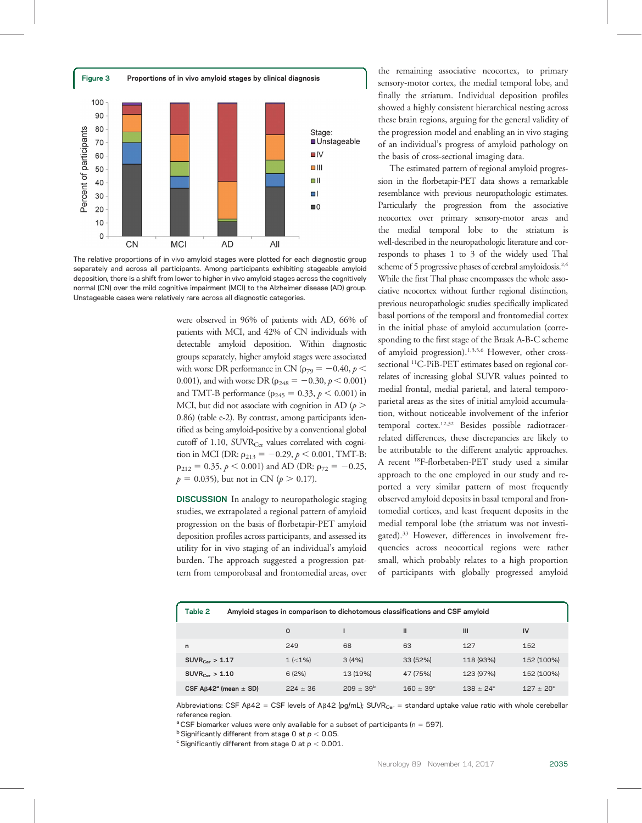

The relative proportions of in vivo amyloid stages were plotted for each diagnostic group separately and across all participants. Among participants exhibiting stageable amyloid deposition, there is a shift from lower to higher in vivo amyloid stages across the cognitively normal (CN) over the mild cognitive impairment (MCI) to the Alzheimer disease (AD) group. Unstageable cases were relatively rare across all diagnostic categories.

were observed in 96% of patients with AD, 66% of patients with MCI, and 42% of CN individuals with detectable amyloid deposition. Within diagnostic groups separately, higher amyloid stages were associated with worse DR performance in CN ( $\rho_{79} = -0.40, p <$ 0.001), and with worse DR ( $\rho_{248} = -0.30, p \le 0.001$ ) and TMT-B performance ( $\rho_{245} = 0.33, p \lt 0.001$ ) in MCI, but did not associate with cognition in AD ( $p >$ 0.86) (table e-2). By contrast, among participants identified as being amyloid-positive by a conventional global cutoff of 1.10,  $\text{SUVR}_{\text{Cer}}$  values correlated with cognition in MCI (DR:  $\rho_{213} = -0.29$ ,  $p < 0.001$ , TMT-B:  $\rho_{212} = 0.35, p < 0.001$  and AD (DR:  $\rho_{72} = -0.25$ ,  $p = 0.035$ ), but not in CN ( $p > 0.17$ ).

DISCUSSION In analogy to neuropathologic staging studies, we extrapolated a regional pattern of amyloid progression on the basis of florbetapir-PET amyloid deposition profiles across participants, and assessed its utility for in vivo staging of an individual's amyloid burden. The approach suggested a progression pattern from temporobasal and frontomedial areas, over

the remaining associative neocortex, to primary sensory-motor cortex, the medial temporal lobe, and finally the striatum. Individual deposition profiles showed a highly consistent hierarchical nesting across these brain regions, arguing for the general validity of the progression model and enabling an in vivo staging of an individual's progress of amyloid pathology on the basis of cross-sectional imaging data.

The estimated pattern of regional amyloid progression in the florbetapir-PET data shows a remarkable resemblance with previous neuropathologic estimates. Particularly the progression from the associative neocortex over primary sensory-motor areas and the medial temporal lobe to the striatum is well-described in the neuropathologic literature and corresponds to phases 1 to 3 of the widely used Thal scheme of 5 progressive phases of cerebral amyloidosis.<sup>2,4</sup> While the first Thal phase encompasses the whole associative neocortex without further regional distinction, previous neuropathologic studies specifically implicated basal portions of the temporal and frontomedial cortex in the initial phase of amyloid accumulation (corresponding to the first stage of the Braak A-B-C scheme of amyloid progression).<sup>1,3,5,6</sup> However, other crosssectional <sup>11</sup>C-PiB-PET estimates based on regional correlates of increasing global SUVR values pointed to medial frontal, medial parietal, and lateral temporoparietal areas as the sites of initial amyloid accumulation, without noticeable involvement of the inferior temporal cortex.12,32 Besides possible radiotracerrelated differences, these discrepancies are likely to be attributable to the different analytic approaches. A recent 18F-florbetaben-PET study used a similar approach to the one employed in our study and reported a very similar pattern of most frequently observed amyloid deposits in basal temporal and frontomedial cortices, and least frequent deposits in the medial temporal lobe (the striatum was not investigated).33 However, differences in involvement frequencies across neocortical regions were rather small, which probably relates to a high proportion of participants with globally progressed amyloid

| Table 2<br>Amyloid stages in comparison to dichotomous classifications and CSF amyloid |              |                  |                      |                      |                      |  |  |
|----------------------------------------------------------------------------------------|--------------|------------------|----------------------|----------------------|----------------------|--|--|
|                                                                                        | $\Omega$     |                  | Ш                    | Ш                    | IV                   |  |  |
| n                                                                                      | 249          | 68               | 63                   | 127                  | 152                  |  |  |
| $SUVR_{\text{cer}} > 1.17$                                                             | $1$ (<1%)    | 3(4%)            | 33 (52%)             | 118 (93%)            | 152 (100%)           |  |  |
| $SUVR_{\text{Cor}} > 1.10$                                                             | 6(2%)        | 13 (19%)         | 47 (75%)             | 123 (97%)            | 152 (100%)           |  |  |
| CSF $\text{AB}42^{\text{a}}$ (mean $\pm$ SD)                                           | $224 \pm 36$ | $209 \pm 39^{b}$ | $160 \pm 39^{\circ}$ | $138 \pm 24^{\circ}$ | $127 \pm 20^{\circ}$ |  |  |

Abbreviations: CSF A $\beta$ 42 = CSF levels of A $\beta$ 42 (pg/mL); SUVR<sub>Cer</sub> = standard uptake value ratio with whole cerebellar reference region.

<sup>a</sup> CSF biomarker values were only available for a subset of participants (n = 597).

 $^{\rm b}$  Significantly different from stage 0 at  $p <$  0.05.

 $\textdegree$  Significantly different from stage 0 at  $p < 0.001$ .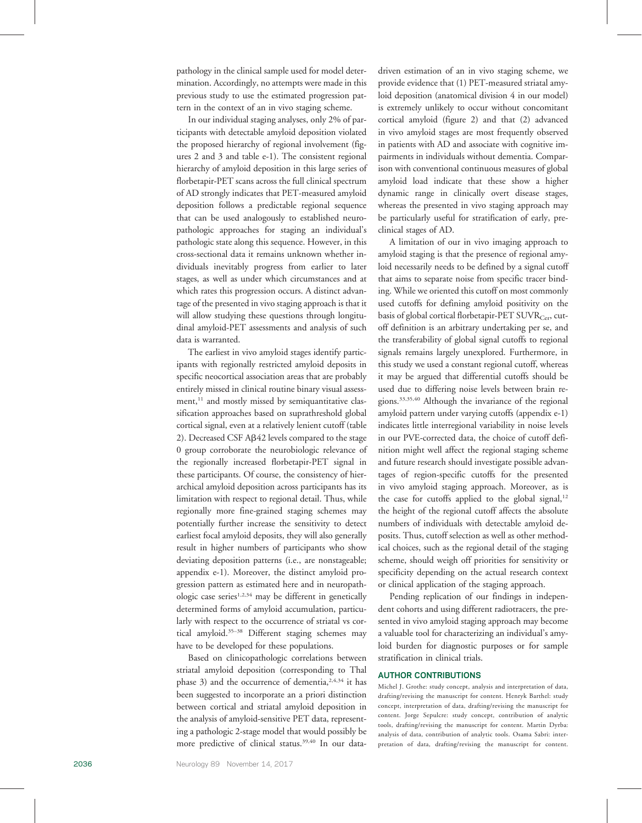pathology in the clinical sample used for model determination. Accordingly, no attempts were made in this previous study to use the estimated progression pattern in the context of an in vivo staging scheme.

In our individual staging analyses, only 2% of participants with detectable amyloid deposition violated the proposed hierarchy of regional involvement (figures 2 and 3 and table e-1). The consistent regional hierarchy of amyloid deposition in this large series of florbetapir-PET scans across the full clinical spectrum of AD strongly indicates that PET-measured amyloid deposition follows a predictable regional sequence that can be used analogously to established neuropathologic approaches for staging an individual's pathologic state along this sequence. However, in this cross-sectional data it remains unknown whether individuals inevitably progress from earlier to later stages, as well as under which circumstances and at which rates this progression occurs. A distinct advantage of the presented in vivo staging approach is that it will allow studying these questions through longitudinal amyloid-PET assessments and analysis of such data is warranted.

The earliest in vivo amyloid stages identify participants with regionally restricted amyloid deposits in specific neocortical association areas that are probably entirely missed in clinical routine binary visual assessment,<sup>11</sup> and mostly missed by semiquantitative classification approaches based on suprathreshold global cortical signal, even at a relatively lenient cutoff (table 2). Decreased CSF A $\beta$ 42 levels compared to the stage 0 group corroborate the neurobiologic relevance of the regionally increased florbetapir-PET signal in these participants. Of course, the consistency of hierarchical amyloid deposition across participants has its limitation with respect to regional detail. Thus, while regionally more fine-grained staging schemes may potentially further increase the sensitivity to detect earliest focal amyloid deposits, they will also generally result in higher numbers of participants who show deviating deposition patterns (i.e., are nonstageable; appendix e-1). Moreover, the distinct amyloid progression pattern as estimated here and in neuropathologic case series $1,2,34$  may be different in genetically determined forms of amyloid accumulation, particularly with respect to the occurrence of striatal vs cortical amyloid.35–<sup>38</sup> Different staging schemes may have to be developed for these populations.

Based on clinicopathologic correlations between striatal amyloid deposition (corresponding to Thal phase 3) and the occurrence of dementia,  $2,4,34$  it has been suggested to incorporate an a priori distinction between cortical and striatal amyloid deposition in the analysis of amyloid-sensitive PET data, representing a pathologic 2-stage model that would possibly be more predictive of clinical status.<sup>39,40</sup> In our data-

driven estimation of an in vivo staging scheme, we provide evidence that (1) PET-measured striatal amyloid deposition (anatomical division 4 in our model) is extremely unlikely to occur without concomitant cortical amyloid (figure 2) and that (2) advanced in vivo amyloid stages are most frequently observed in patients with AD and associate with cognitive impairments in individuals without dementia. Comparison with conventional continuous measures of global amyloid load indicate that these show a higher dynamic range in clinically overt disease stages, whereas the presented in vivo staging approach may be particularly useful for stratification of early, preclinical stages of AD.

A limitation of our in vivo imaging approach to amyloid staging is that the presence of regional amyloid necessarily needs to be defined by a signal cutoff that aims to separate noise from specific tracer binding. While we oriented this cutoff on most commonly used cutoffs for defining amyloid positivity on the basis of global cortical florbetapir-PET SUVR $_{Cer}$ , cutoff definition is an arbitrary undertaking per se, and the transferability of global signal cutoffs to regional signals remains largely unexplored. Furthermore, in this study we used a constant regional cutoff, whereas it may be argued that differential cutoffs should be used due to differing noise levels between brain regions.33,35,40 Although the invariance of the regional amyloid pattern under varying cutoffs (appendix e-1) indicates little interregional variability in noise levels in our PVE-corrected data, the choice of cutoff definition might well affect the regional staging scheme and future research should investigate possible advantages of region-specific cutoffs for the presented in vivo amyloid staging approach. Moreover, as is the case for cutoffs applied to the global signal, $12$ the height of the regional cutoff affects the absolute numbers of individuals with detectable amyloid deposits. Thus, cutoff selection as well as other methodical choices, such as the regional detail of the staging scheme, should weigh off priorities for sensitivity or specificity depending on the actual research context or clinical application of the staging approach.

Pending replication of our findings in independent cohorts and using different radiotracers, the presented in vivo amyloid staging approach may become a valuable tool for characterizing an individual's amyloid burden for diagnostic purposes or for sample stratification in clinical trials.

#### AUTHOR CONTRIBUTIONS

Michel J. Grothe: study concept, analysis and interpretation of data, drafting/revising the manuscript for content. Henryk Barthel: study concept, interpretation of data, drafting/revising the manuscript for content. Jorge Sepulcre: study concept, contribution of analytic tools, drafting/revising the manuscript for content. Martin Dyrba: analysis of data, contribution of analytic tools. Osama Sabri: interpretation of data, drafting/revising the manuscript for content.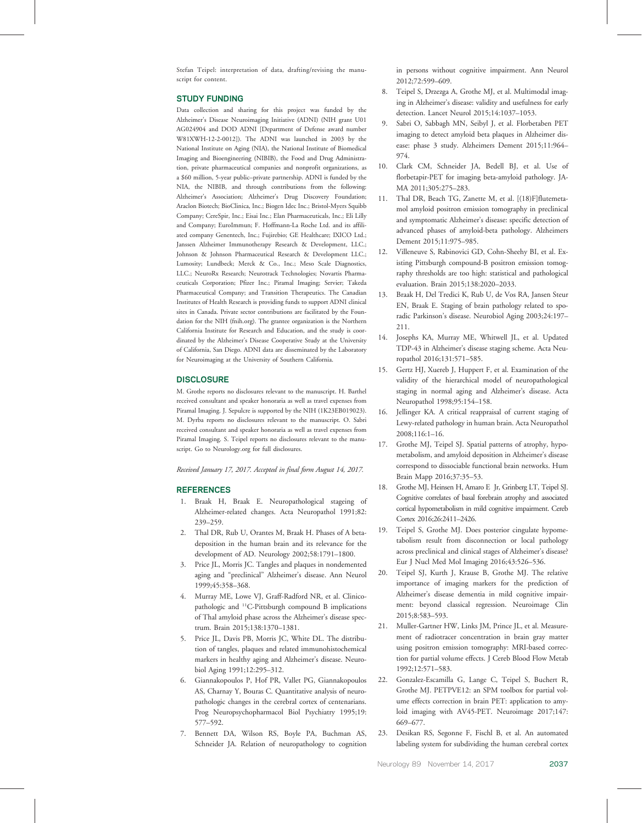Stefan Teipel: interpretation of data, drafting/revising the manuscript for content.

#### STUDY FUNDING

Data collection and sharing for this project was funded by the Alzheimer's Disease Neuroimaging Initiative (ADNI) (NIH grant U01 AG024904 and DOD ADNI [Department of Defense award number W81XWH-12-2-0012]). The ADNI was launched in 2003 by the National Institute on Aging (NIA), the National Institute of Biomedical Imaging and Bioengineering (NIBIB), the Food and Drug Administration, private pharmaceutical companies and nonprofit organizations, as a \$60 million, 5-year public–private partnership. ADNI is funded by the NIA, the NIBIB, and through contributions from the following: Alzheimer's Association; Alzheimer's Drug Discovery Foundation; Araclon Biotech; BioClinica, Inc.; Biogen Idec Inc.; Bristol-Myers Squibb Company; CereSpir, Inc.; Eisai Inc.; Elan Pharmaceuticals, Inc.; Eli Lilly and Company; EuroImmun; F. Hoffmann-La Roche Ltd. and its affiliated company Genentech, Inc.; Fujirebio; GE Healthcare; IXICO Ltd.; Janssen Alzheimer Immunotherapy Research & Development, LLC.; Johnson & Johnson Pharmaceutical Research & Development LLC.; Lumosity; Lundbeck; Merck & Co., Inc.; Meso Scale Diagnostics, LLC.; NeuroRx Research; Neurotrack Technologies; Novartis Pharmaceuticals Corporation; Pfizer Inc.; Piramal Imaging; Servier; Takeda Pharmaceutical Company; and Transition Therapeutics. The Canadian Institutes of Health Research is providing funds to support ADNI clinical sites in Canada. Private sector contributions are facilitated by the Foundation for the NIH ([fnih.org](http://www.fnih.org)). The grantee organization is the Northern California Institute for Research and Education, and the study is coordinated by the Alzheimer's Disease Cooperative Study at the University of California, San Diego. ADNI data are disseminated by the Laboratory for Neuroimaging at the University of Southern California.

#### **DISCLOSURE**

M. Grothe reports no disclosures relevant to the manuscript. H. Barthel received consultant and speaker honoraria as well as travel expenses from Piramal Imaging. J. Sepulcre is supported by the NIH (1K23EB019023). M. Dyrba reports no disclosures relevant to the manuscript. O. Sabri received consultant and speaker honoraria as well as travel expenses from Piramal Imaging. S. Teipel reports no disclosures relevant to the manuscript. Go to [Neurology.org](http://neurology.org/lookup/doi/10.1212/WNL.0000000000004643) for full disclosures.

Received January 17, 2017. Accepted in final form August 14, 2017.

#### **REFERENCES**

- 1. Braak H, Braak E. Neuropathological stageing of Alzheimer-related changes. Acta Neuropathol 1991;82: 239–259.
- 2. Thal DR, Rub U, Orantes M, Braak H. Phases of A betadeposition in the human brain and its relevance for the development of AD. Neurology 2002;58:1791–1800.
- 3. Price JL, Morris JC. Tangles and plaques in nondemented aging and "preclinical" Alzheimer's disease. Ann Neurol 1999;45:358–368.
- 4. Murray ME, Lowe VJ, Graff-Radford NR, et al. Clinicopathologic and 11C-Pittsburgh compound B implications of Thal amyloid phase across the Alzheimer's disease spectrum. Brain 2015;138:1370–1381.
- 5. Price JL, Davis PB, Morris JC, White DL. The distribution of tangles, plaques and related immunohistochemical markers in healthy aging and Alzheimer's disease. Neurobiol Aging 1991;12:295–312.
- 6. Giannakopoulos P, Hof PR, Vallet PG, Giannakopoulos AS, Charnay Y, Bouras C. Quantitative analysis of neuropathologic changes in the cerebral cortex of centenarians. Prog Neuropsychopharmacol Biol Psychiatry 1995;19: 577–592.
- 7. Bennett DA, Wilson RS, Boyle PA, Buchman AS, Schneider JA. Relation of neuropathology to cognition

in persons without cognitive impairment. Ann Neurol 2012;72:599–609.

- 8. Teipel S, Drzezga A, Grothe MJ, et al. Multimodal imaging in Alzheimer's disease: validity and usefulness for early detection. Lancet Neurol 2015;14:1037–1053.
- 9. Sabri O, Sabbagh MN, Seibyl J, et al. Florbetaben PET imaging to detect amyloid beta plaques in Alzheimer disease: phase 3 study. Alzheimers Dement 2015;11:964– 974.
- 10. Clark CM, Schneider JA, Bedell BJ, et al. Use of florbetapir-PET for imaging beta-amyloid pathology. JA-MA 2011;305:275–283.
- 11. Thal DR, Beach TG, Zanette M, et al. [(18)F]flutemetamol amyloid positron emission tomography in preclinical and symptomatic Alzheimer's disease: specific detection of advanced phases of amyloid-beta pathology. Alzheimers Dement 2015;11:975–985.
- 12. Villeneuve S, Rabinovici GD, Cohn-Sheehy BI, et al. Existing Pittsburgh compound-B positron emission tomography thresholds are too high: statistical and pathological evaluation. Brain 2015;138:2020–2033.
- 13. Braak H, Del Tredici K, Rub U, de Vos RA, Jansen Steur EN, Braak E. Staging of brain pathology related to sporadic Parkinson's disease. Neurobiol Aging 2003;24:197– 211.
- 14. Josephs KA, Murray ME, Whitwell JL, et al. Updated TDP-43 in Alzheimer's disease staging scheme. Acta Neuropathol 2016;131:571–585.
- 15. Gertz HJ, Xuereb J, Huppert F, et al. Examination of the validity of the hierarchical model of neuropathological staging in normal aging and Alzheimer's disease. Acta Neuropathol 1998;95:154–158.
- 16. Jellinger KA. A critical reappraisal of current staging of Lewy-related pathology in human brain. Acta Neuropathol 2008;116:1–16.
- 17. Grothe MJ, Teipel SJ. Spatial patterns of atrophy, hypometabolism, and amyloid deposition in Alzheimer's disease correspond to dissociable functional brain networks. Hum Brain Mapp 2016;37:35–53.
- 18. Grothe MJ, Heinsen H, Amaro E Jr, Grinberg LT, Teipel SJ. Cognitive correlates of basal forebrain atrophy and associated cortical hypometabolism in mild cognitive impairment. Cereb Cortex 2016;26:2411–2426.
- 19. Teipel S, Grothe MJ. Does posterior cingulate hypometabolism result from disconnection or local pathology across preclinical and clinical stages of Alzheimer's disease? Eur J Nucl Med Mol Imaging 2016;43:526–536.
- 20. Teipel SJ, Kurth J, Krause B, Grothe MJ. The relative importance of imaging markers for the prediction of Alzheimer's disease dementia in mild cognitive impairment: beyond classical regression. Neuroimage Clin 2015;8:583–593.
- 21. Muller-Gartner HW, Links JM, Prince JL, et al. Measurement of radiotracer concentration in brain gray matter using positron emission tomography: MRI-based correction for partial volume effects. J Cereb Blood Flow Metab 1992;12:571–583.
- 22. Gonzalez-Escamilla G, Lange C, Teipel S, Buchert R, Grothe MJ. PETPVE12: an SPM toolbox for partial volume effects correction in brain PET: application to amyloid imaging with AV45-PET. Neuroimage 2017;147: 669–677.
- 23. Desikan RS, Segonne F, Fischl B, et al. An automated labeling system for subdividing the human cerebral cortex